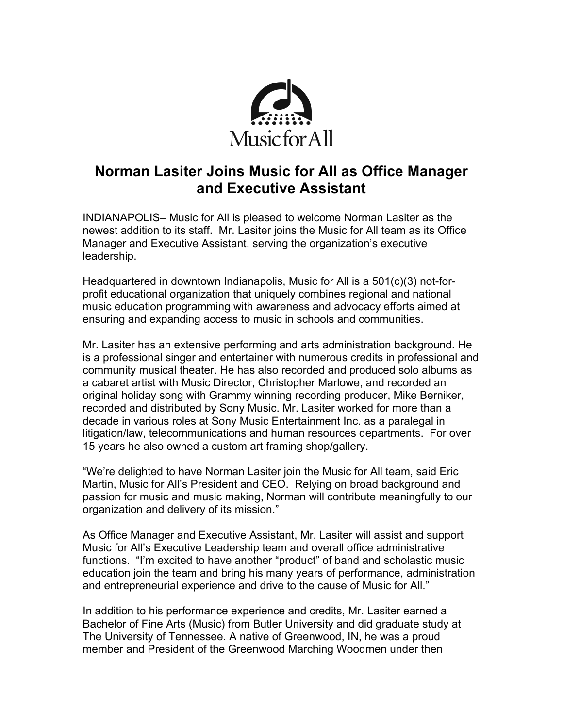

## **Norman Lasiter Joins Music for All as Office Manager and Executive Assistant**

INDIANAPOLIS– Music for All is pleased to welcome Norman Lasiter as the newest addition to its staff. Mr. Lasiter joins the Music for All team as its Office Manager and Executive Assistant, serving the organization's executive leadership.

Headquartered in downtown Indianapolis, Music for All is a 501(c)(3) not-forprofit educational organization that uniquely combines regional and national music education programming with awareness and advocacy efforts aimed at ensuring and expanding access to music in schools and communities.

Mr. Lasiter has an extensive performing and arts administration background. He is a professional singer and entertainer with numerous credits in professional and community musical theater. He has also recorded and produced solo albums as a cabaret artist with Music Director, Christopher Marlowe, and recorded an original holiday song with Grammy winning recording producer, Mike Berniker, recorded and distributed by Sony Music. Mr. Lasiter worked for more than a decade in various roles at Sony Music Entertainment Inc. as a paralegal in litigation/law, telecommunications and human resources departments. For over 15 years he also owned a custom art framing shop/gallery.

"We're delighted to have Norman Lasiter join the Music for All team, said Eric Martin, Music for All's President and CEO. Relying on broad background and passion for music and music making, Norman will contribute meaningfully to our organization and delivery of its mission."

As Office Manager and Executive Assistant, Mr. Lasiter will assist and support Music for All's Executive Leadership team and overall office administrative functions. "I'm excited to have another "product" of band and scholastic music education join the team and bring his many years of performance, administration and entrepreneurial experience and drive to the cause of Music for All."

In addition to his performance experience and credits, Mr. Lasiter earned a Bachelor of Fine Arts (Music) from Butler University and did graduate study at The University of Tennessee. A native of Greenwood, IN, he was a proud member and President of the Greenwood Marching Woodmen under then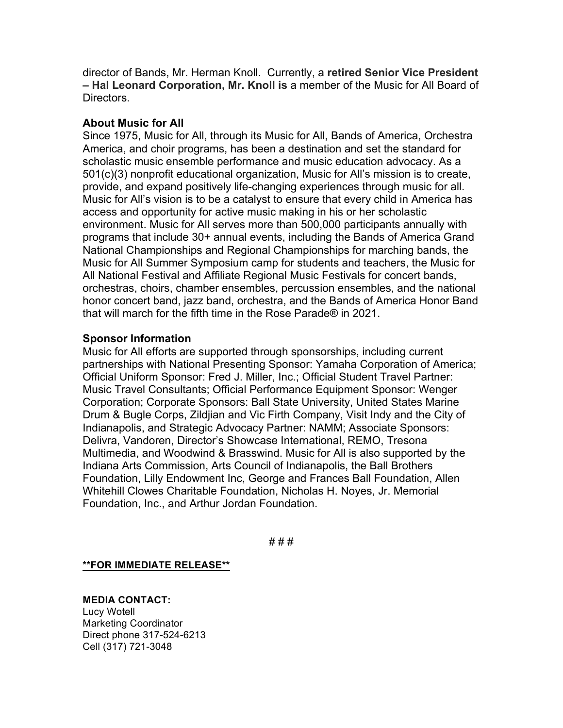director of Bands, Mr. Herman Knoll. Currently, a **retired Senior Vice President – Hal Leonard Corporation, Mr. Knoll is** a member of the Music for All Board of Directors.

## **About Music for All**

Since 1975, Music for All, through its Music for All, Bands of America, Orchestra America, and choir programs, has been a destination and set the standard for scholastic music ensemble performance and music education advocacy. As a 501(c)(3) nonprofit educational organization, Music for All's mission is to create, provide, and expand positively life-changing experiences through music for all. Music for All's vision is to be a catalyst to ensure that every child in America has access and opportunity for active music making in his or her scholastic environment. Music for All serves more than 500,000 participants annually with programs that include 30+ annual events, including the Bands of America Grand National Championships and Regional Championships for marching bands, the Music for All Summer Symposium camp for students and teachers, the Music for All National Festival and Affiliate Regional Music Festivals for concert bands, orchestras, choirs, chamber ensembles, percussion ensembles, and the national honor concert band, jazz band, orchestra, and the Bands of America Honor Band that will march for the fifth time in the Rose Parade® in 2021.

## **Sponsor Information**

Music for All efforts are supported through sponsorships, including current partnerships with National Presenting Sponsor: Yamaha Corporation of America; Official Uniform Sponsor: Fred J. Miller, Inc.; Official Student Travel Partner: Music Travel Consultants; Official Performance Equipment Sponsor: Wenger Corporation; Corporate Sponsors: Ball State University, United States Marine Drum & Bugle Corps, Zildjian and Vic Firth Company, Visit Indy and the City of Indianapolis, and Strategic Advocacy Partner: NAMM; Associate Sponsors: Delivra, Vandoren, Director's Showcase International, REMO, Tresona Multimedia, and Woodwind & Brasswind. Music for All is also supported by the Indiana Arts Commission, Arts Council of Indianapolis, the Ball Brothers Foundation, Lilly Endowment Inc, George and Frances Ball Foundation, Allen Whitehill Clowes Charitable Foundation, Nicholas H. Noyes, Jr. Memorial Foundation, Inc., and Arthur Jordan Foundation.

# # #

**\*\*FOR IMMEDIATE RELEASE\*\***

## **MEDIA CONTACT:**

Lucy Wotell Marketing Coordinator Direct phone 317-524-6213 Cell (317) 721-3048